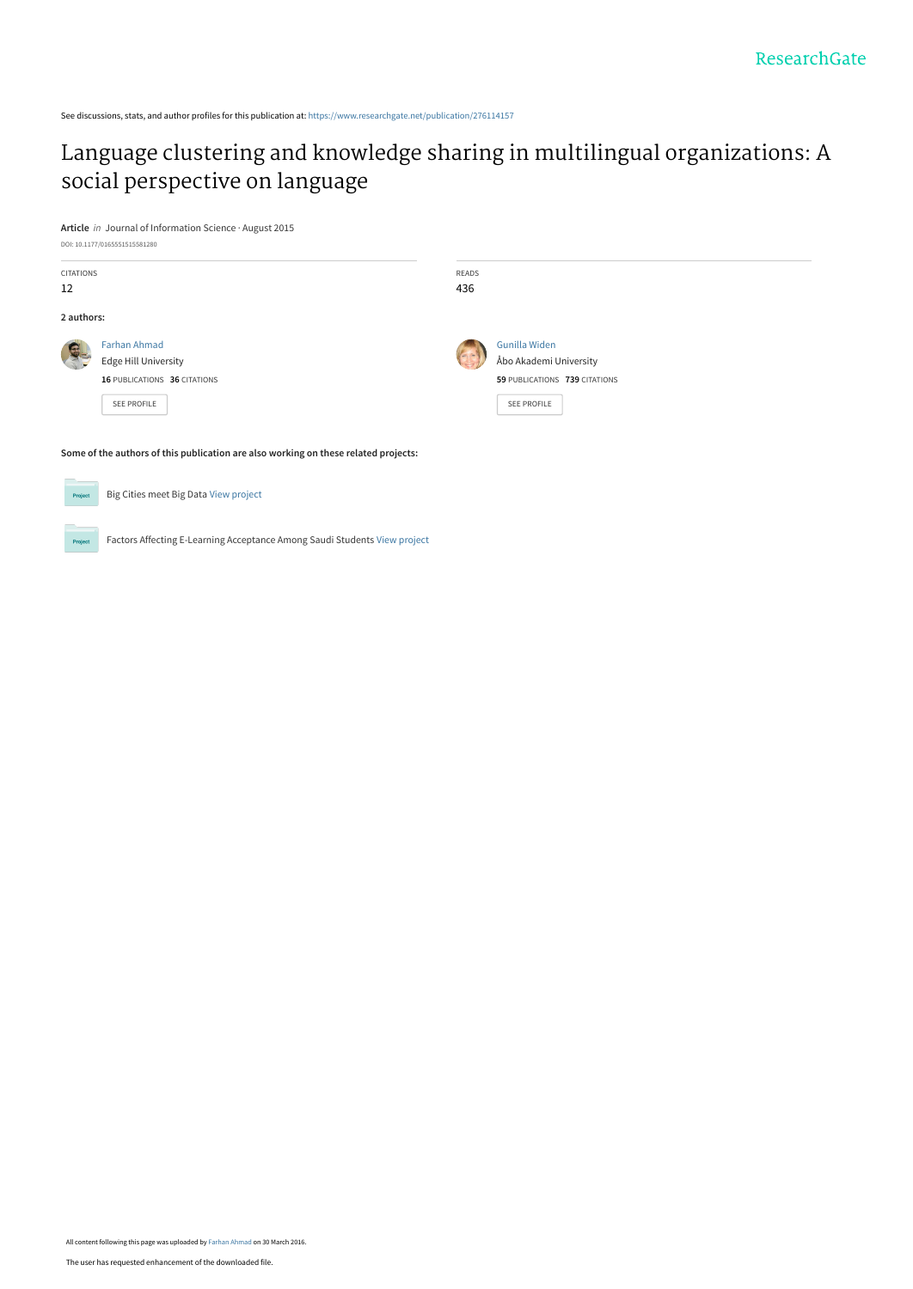See discussions, stats, and author profiles for this publication at: [https://www.researchgate.net/publication/276114157](https://www.researchgate.net/publication/276114157_Language_clustering_and_knowledge_sharing_in_multilingual_organizations_A_social_perspective_on_language?enrichId=rgreq-3d129f99adda64c809d3ad11a52adcc6-XXX&enrichSource=Y292ZXJQYWdlOzI3NjExNDE1NztBUzozNDUyNTQ3MzQ2NDczMDFAMTQ1OTMyNjU1MTE5Mw%3D%3D&el=1_x_2&_esc=publicationCoverPdf)

## [Language clustering and knowledge sharing in multilingual organizations: A](https://www.researchgate.net/publication/276114157_Language_clustering_and_knowledge_sharing_in_multilingual_organizations_A_social_perspective_on_language?enrichId=rgreq-3d129f99adda64c809d3ad11a52adcc6-XXX&enrichSource=Y292ZXJQYWdlOzI3NjExNDE1NztBUzozNDUyNTQ3MzQ2NDczMDFAMTQ1OTMyNjU1MTE5Mw%3D%3D&el=1_x_3&_esc=publicationCoverPdf) social perspective on language

**Article** in Journal of Information Science · August 2015

Big Cities meet Big Data [View project](https://www.researchgate.net/project/Big-Cities-meet-Big-Data?enrichId=rgreq-3d129f99adda64c809d3ad11a52adcc6-XXX&enrichSource=Y292ZXJQYWdlOzI3NjExNDE1NztBUzozNDUyNTQ3MzQ2NDczMDFAMTQ1OTMyNjU1MTE5Mw%3D%3D&el=1_x_9&_esc=publicationCoverPdf)

Project

| <b>CITATIONS</b><br>12                                                                                             | READS<br>436 |                                                                                         |
|--------------------------------------------------------------------------------------------------------------------|--------------|-----------------------------------------------------------------------------------------|
| 2 authors:                                                                                                         |              |                                                                                         |
| <b>Farhan Ahmad</b><br>$\mathcal{L}$<br><b>Edge Hill University</b><br>16 PUBLICATIONS 36 CITATIONS<br>SEE PROFILE |              | Gunilla Widen<br>Åbo Akademi University<br>59 PUBLICATIONS 739 CITATIONS<br>SEE PROFILE |
| Some of the authors of this publication are also working on these related projects:                                |              |                                                                                         |

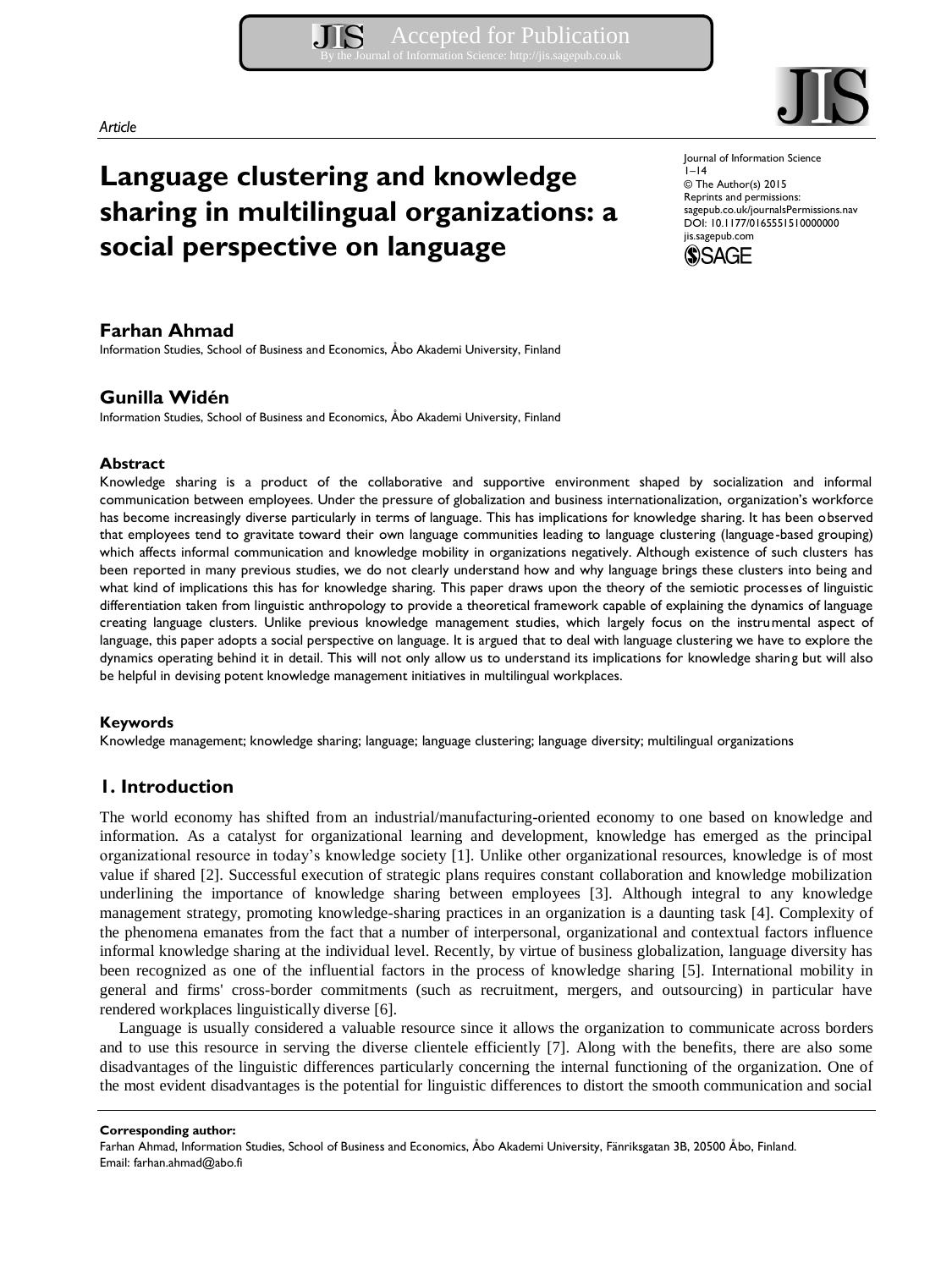#### *Article*

# **Language clustering and knowledge sharing in multilingual organizations: a social perspective on language**

## **Farhan Ahmad**

Information Studies, School of Business and Economics, Åbo Akademi University, Finland

## **Gunilla Widén**

Information Studies, School of Business and Economics, Åbo Akademi University, Finland

## **Abstract**

Knowledge sharing is a product of the collaborative and supportive environment shaped by socialization and informal communication between employees. Under the pressure of globalization and business internationalization, organization's workforce has become increasingly diverse particularly in terms of language. This has implications for knowledge sharing. It has been observed that employees tend to gravitate toward their own language communities leading to language clustering (language-based grouping) which affects informal communication and knowledge mobility in organizations negatively. Although existence of such clusters has been reported in many previous studies, we do not clearly understand how and why language brings these clusters into being and what kind of implications this has for knowledge sharing. This paper draws upon the theory of the semiotic processes of linguistic differentiation taken from linguistic anthropology to provide a theoretical framework capable of explaining the dynamics of language creating language clusters. Unlike previous knowledge management studies, which largely focus on the instrumental aspect of language, this paper adopts a social perspective on language. It is argued that to deal with language clustering we have to explore the dynamics operating behind it in detail. This will not only allow us to understand its implications for knowledge sharing but will also be helpful in devising potent knowledge management initiatives in multilingual workplaces.

#### **Keywords**

Knowledge management; knowledge sharing; language; language clustering; language diversity; multilingual organizations

## **1. Introduction**

The world economy has shifted from an industrial/manufacturing-oriented economy to one based on knowledge and information. As a catalyst for organizational learning and development, knowledge has emerged as the principal organizational resource in today's knowledge society [1]. Unlike other organizational resources, knowledge is of most value if shared [2]. Successful execution of strategic plans requires constant collaboration and knowledge mobilization underlining the importance of knowledge sharing between employees [3]. Although integral to any knowledge management strategy, promoting knowledge-sharing practices in an organization is a daunting task [4]. Complexity of the phenomena emanates from the fact that a number of interpersonal, organizational and contextual factors influence informal knowledge sharing at the individual level. Recently, by virtue of business globalization, language diversity has been recognized as one of the influential factors in the process of knowledge sharing [5]. International mobility in general and firms' cross-border commitments (such as recruitment, mergers, and outsourcing) in particular have rendered workplaces linguistically diverse [6].

Language is usually considered a valuable resource since it allows the organization to communicate across borders and to use this resource in serving the diverse clientele efficiently [7]. Along with the benefits, there are also some disadvantages of the linguistic differences particularly concerning the internal functioning of the organization. One of the most evident disadvantages is the potential for linguistic differences to distort the smooth communication and social

**Corresponding author:**

Farhan Ahmad, Information Studies, School of Business and Economics, Åbo Akademi University, Fänriksgatan 3B, 20500 Åbo, Finland. Email: farhan.ahmad@abo.fi



Journal of Information Science  $I-I4$ © The Author(s) 2015 Reprints and permissions: sagepub.co.uk/journalsPermissions.nav DOI: 10.1177/0165551510000000 jis.sagepub.com

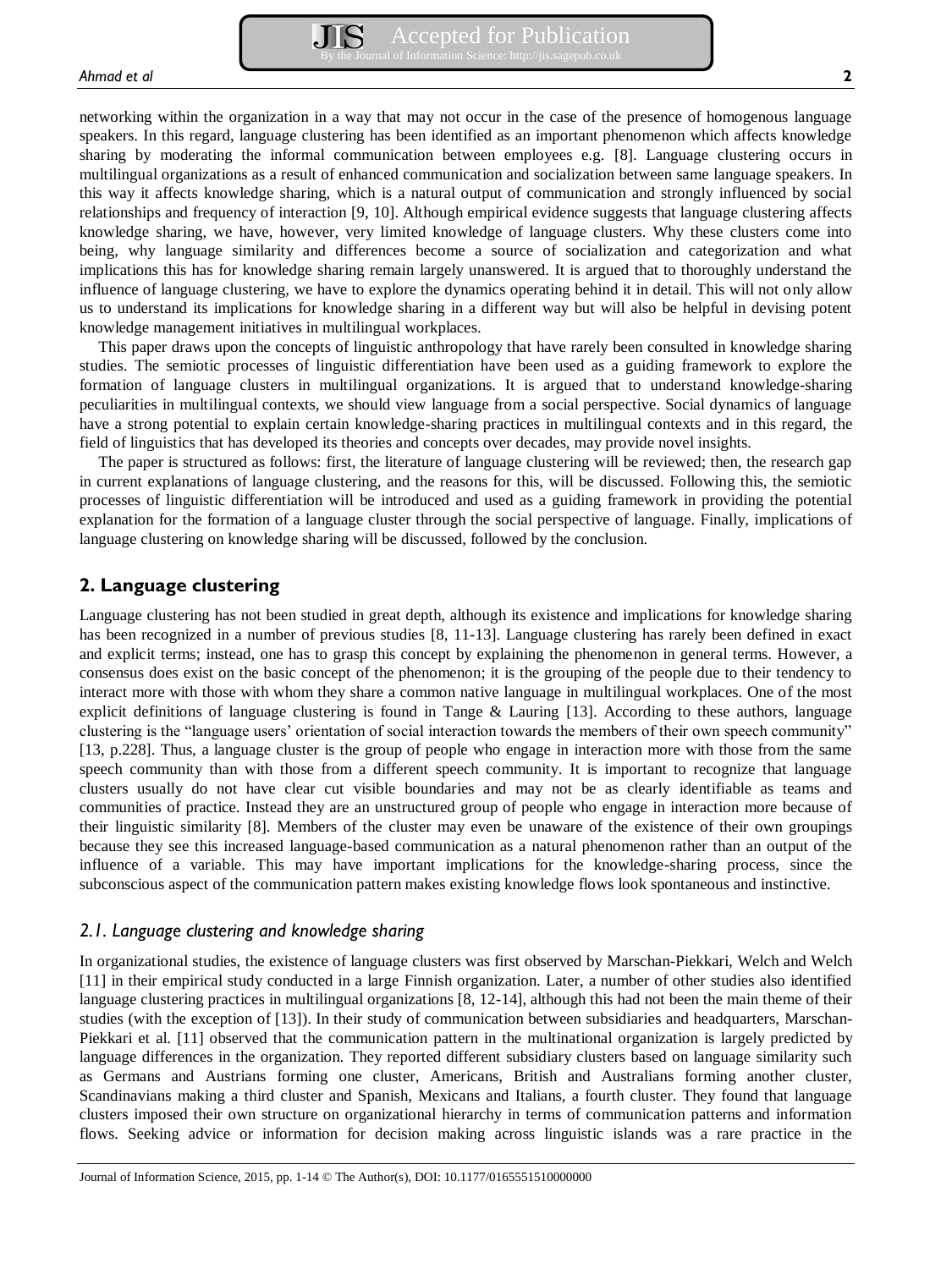networking within the organization in a way that may not occur in the case of the presence of homogenous language speakers. In this regard, language clustering has been identified as an important phenomenon which affects knowledge sharing by moderating the informal communication between employees e.g. [8]. Language clustering occurs in multilingual organizations as a result of enhanced communication and socialization between same language speakers. In this way it affects knowledge sharing, which is a natural output of communication and strongly influenced by social relationships and frequency of interaction [9, 10]. Although empirical evidence suggests that language clustering affects knowledge sharing, we have, however, very limited knowledge of language clusters. Why these clusters come into being, why language similarity and differences become a source of socialization and categorization and what implications this has for knowledge sharing remain largely unanswered. It is argued that to thoroughly understand the influence of language clustering, we have to explore the dynamics operating behind it in detail. This will not only allow us to understand its implications for knowledge sharing in a different way but will also be helpful in devising potent knowledge management initiatives in multilingual workplaces.

This paper draws upon the concepts of linguistic anthropology that have rarely been consulted in knowledge sharing studies. The semiotic processes of linguistic differentiation have been used as a guiding framework to explore the formation of language clusters in multilingual organizations. It is argued that to understand knowledge-sharing peculiarities in multilingual contexts, we should view language from a social perspective. Social dynamics of language have a strong potential to explain certain knowledge-sharing practices in multilingual contexts and in this regard, the field of linguistics that has developed its theories and concepts over decades, may provide novel insights.

The paper is structured as follows: first, the literature of language clustering will be reviewed; then, the research gap in current explanations of language clustering, and the reasons for this, will be discussed. Following this, the semiotic processes of linguistic differentiation will be introduced and used as a guiding framework in providing the potential explanation for the formation of a language cluster through the social perspective of language. Finally, implications of language clustering on knowledge sharing will be discussed, followed by the conclusion.

## **2. Language clustering**

Language clustering has not been studied in great depth, although its existence and implications for knowledge sharing has been recognized in a number of previous studies [8, 11-13]. Language clustering has rarely been defined in exact and explicit terms; instead, one has to grasp this concept by explaining the phenomenon in general terms. However, a consensus does exist on the basic concept of the phenomenon; it is the grouping of the people due to their tendency to interact more with those with whom they share a common native language in multilingual workplaces. One of the most explicit definitions of language clustering is found in Tange  $\&$  Lauring [13]. According to these authors, language clustering is the "language users' orientation of social interaction towards the members of their own speech community" [13, p.228]. Thus, a language cluster is the group of people who engage in interaction more with those from the same speech community than with those from a different speech community. It is important to recognize that language clusters usually do not have clear cut visible boundaries and may not be as clearly identifiable as teams and communities of practice. Instead they are an unstructured group of people who engage in interaction more because of their linguistic similarity [8]. Members of the cluster may even be unaware of the existence of their own groupings because they see this increased language-based communication as a natural phenomenon rather than an output of the influence of a variable. This may have important implications for the knowledge-sharing process, since the subconscious aspect of the communication pattern makes existing knowledge flows look spontaneous and instinctive.

## *2.1. Language clustering and knowledge sharing*

In organizational studies, the existence of language clusters was first observed by Marschan-Piekkari, Welch and Welch [11] in their empirical study conducted in a large Finnish organization. Later, a number of other studies also identified language clustering practices in multilingual organizations [8, 12-14], although this had not been the main theme of their studies (with the exception of [13]). In their study of communication between subsidiaries and headquarters, Marschan-Piekkari et al. [11] observed that the communication pattern in the multinational organization is largely predicted by language differences in the organization. They reported different subsidiary clusters based on language similarity such as Germans and Austrians forming one cluster, Americans, British and Australians forming another cluster, Scandinavians making a third cluster and Spanish, Mexicans and Italians, a fourth cluster. They found that language clusters imposed their own structure on organizational hierarchy in terms of communication patterns and information flows. Seeking advice or information for decision making across linguistic islands was a rare practice in the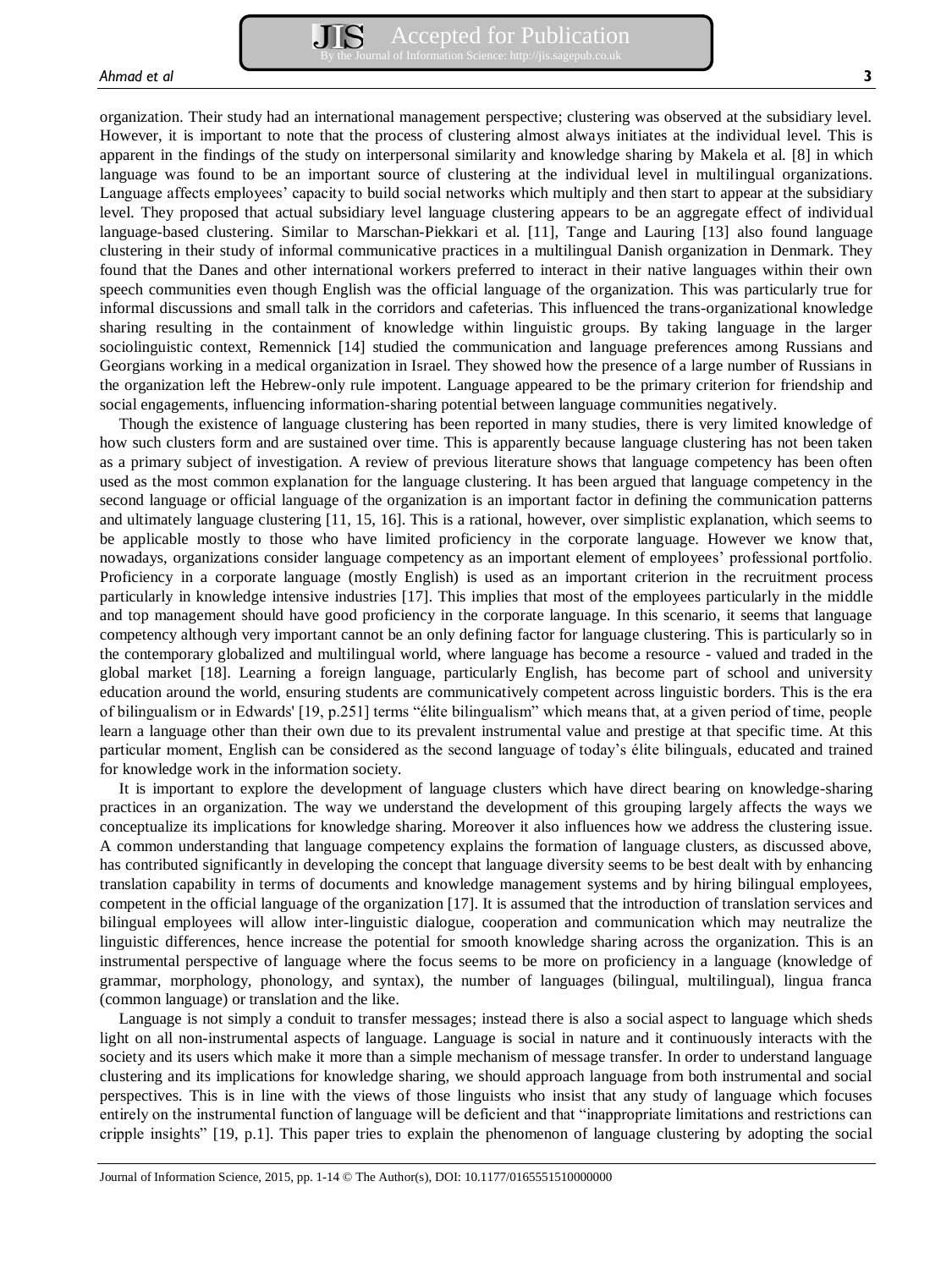organization. Their study had an international management perspective; clustering was observed at the subsidiary level. However, it is important to note that the process of clustering almost always initiates at the individual level. This is apparent in the findings of the study on interpersonal similarity and knowledge sharing by Makela et al. [8] in which language was found to be an important source of clustering at the individual level in multilingual organizations. Language affects employees' capacity to build social networks which multiply and then start to appear at the subsidiary level. They proposed that actual subsidiary level language clustering appears to be an aggregate effect of individual language-based clustering. Similar to Marschan-Piekkari et al. [11], Tange and Lauring [13] also found language clustering in their study of informal communicative practices in a multilingual Danish organization in Denmark. They found that the Danes and other international workers preferred to interact in their native languages within their own speech communities even though English was the official language of the organization. This was particularly true for informal discussions and small talk in the corridors and cafeterias. This influenced the trans-organizational knowledge sharing resulting in the containment of knowledge within linguistic groups. By taking language in the larger sociolinguistic context, Remennick [14] studied the communication and language preferences among Russians and Georgians working in a medical organization in Israel. They showed how the presence of a large number of Russians in the organization left the Hebrew-only rule impotent. Language appeared to be the primary criterion for friendship and social engagements, influencing information-sharing potential between language communities negatively.

Though the existence of language clustering has been reported in many studies, there is very limited knowledge of how such clusters form and are sustained over time. This is apparently because language clustering has not been taken as a primary subject of investigation. A review of previous literature shows that language competency has been often used as the most common explanation for the language clustering. It has been argued that language competency in the second language or official language of the organization is an important factor in defining the communication patterns and ultimately language clustering [11, 15, 16]. This is a rational, however, over simplistic explanation, which seems to be applicable mostly to those who have limited proficiency in the corporate language. However we know that, nowadays, organizations consider language competency as an important element of employees' professional portfolio. Proficiency in a corporate language (mostly English) is used as an important criterion in the recruitment process particularly in knowledge intensive industries [17]. This implies that most of the employees particularly in the middle and top management should have good proficiency in the corporate language. In this scenario, it seems that language competency although very important cannot be an only defining factor for language clustering. This is particularly so in the contemporary globalized and multilingual world, where language has become a resource - valued and traded in the global market [18]. Learning a foreign language, particularly English, has become part of school and university education around the world, ensuring students are communicatively competent across linguistic borders. This is the era of bilingualism or in Edwards' [19, p.251] terms "élite bilingualism" which means that, at a given period of time, people learn a language other than their own due to its prevalent instrumental value and prestige at that specific time. At this particular moment, English can be considered as the second language of today's élite bilinguals, educated and trained for knowledge work in the information society.

It is important to explore the development of language clusters which have direct bearing on knowledge-sharing practices in an organization. The way we understand the development of this grouping largely affects the ways we conceptualize its implications for knowledge sharing. Moreover it also influences how we address the clustering issue. A common understanding that language competency explains the formation of language clusters, as discussed above, has contributed significantly in developing the concept that language diversity seems to be best dealt with by enhancing translation capability in terms of documents and knowledge management systems and by hiring bilingual employees, competent in the official language of the organization [17]. It is assumed that the introduction of translation services and bilingual employees will allow inter-linguistic dialogue, cooperation and communication which may neutralize the linguistic differences, hence increase the potential for smooth knowledge sharing across the organization. This is an instrumental perspective of language where the focus seems to be more on proficiency in a language (knowledge of grammar, morphology, phonology, and syntax), the number of languages (bilingual, multilingual), lingua franca (common language) or translation and the like.

Language is not simply a conduit to transfer messages; instead there is also a social aspect to language which sheds light on all non-instrumental aspects of language. Language is social in nature and it continuously interacts with the society and its users which make it more than a simple mechanism of message transfer. In order to understand language clustering and its implications for knowledge sharing, we should approach language from both instrumental and social perspectives. This is in line with the views of those linguists who insist that any study of language which focuses entirely on the instrumental function of language will be deficient and that "inappropriate limitations and restrictions can cripple insights" [19, p.1]. This paper tries to explain the phenomenon of language clustering by adopting the social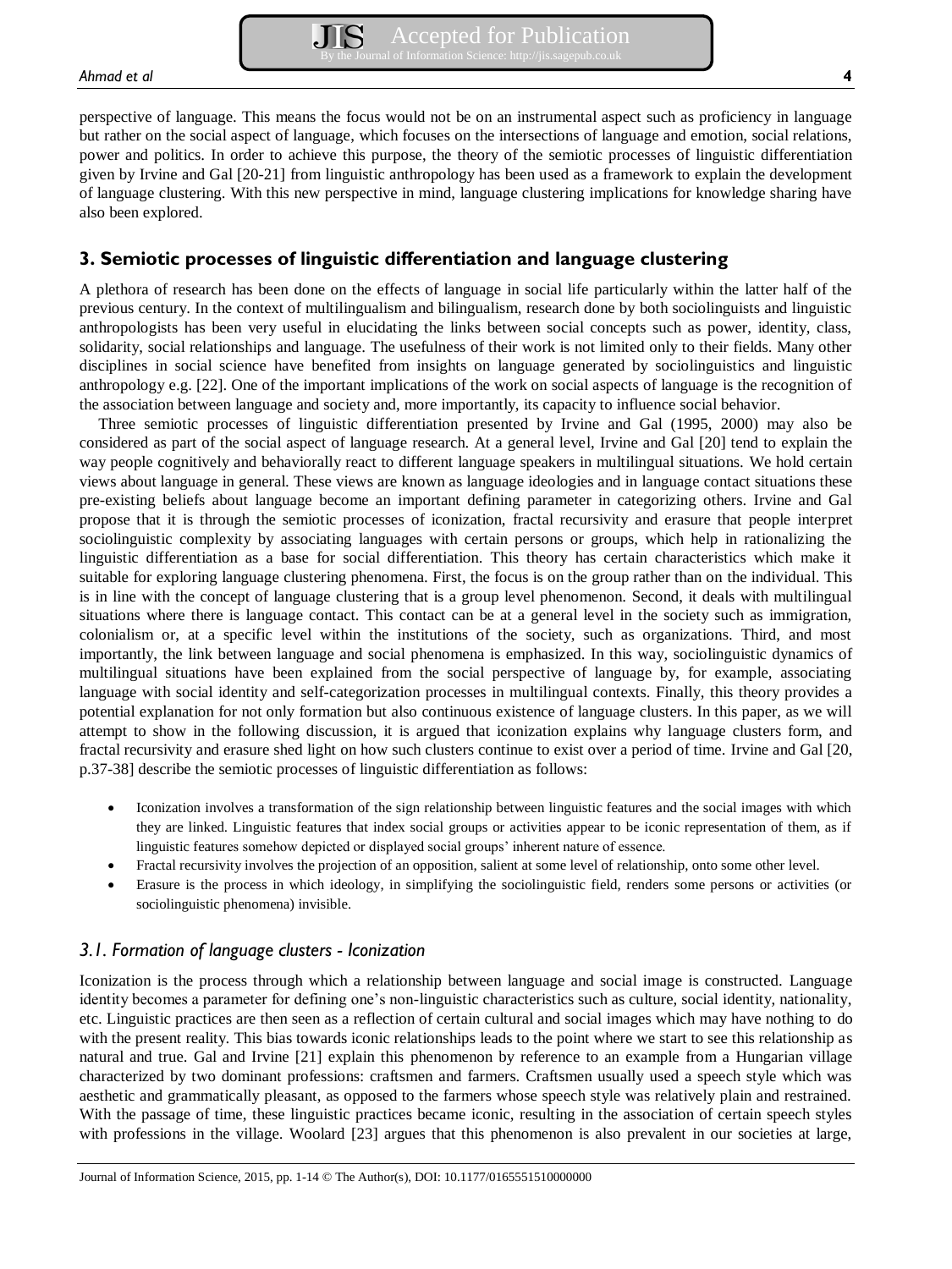perspective of language. This means the focus would not be on an instrumental aspect such as proficiency in language but rather on the social aspect of language, which focuses on the intersections of language and emotion, social relations, power and politics. In order to achieve this purpose, the theory of the semiotic processes of linguistic differentiation given by Irvine and Gal [20-21] from linguistic anthropology has been used as a framework to explain the development of language clustering. With this new perspective in mind, language clustering implications for knowledge sharing have also been explored.

## **3. Semiotic processes of linguistic differentiation and language clustering**

A plethora of research has been done on the effects of language in social life particularly within the latter half of the previous century. In the context of multilingualism and bilingualism, research done by both sociolinguists and linguistic anthropologists has been very useful in elucidating the links between social concepts such as power, identity, class, solidarity, social relationships and language. The usefulness of their work is not limited only to their fields. Many other disciplines in social science have benefited from insights on language generated by sociolinguistics and linguistic anthropology e.g. [22]. One of the important implications of the work on social aspects of language is the recognition of the association between language and society and, more importantly, its capacity to influence social behavior.

Three semiotic processes of linguistic differentiation presented by Irvine and Gal (1995, 2000) may also be considered as part of the social aspect of language research. At a general level, Irvine and Gal [20] tend to explain the way people cognitively and behaviorally react to different language speakers in multilingual situations. We hold certain views about language in general. These views are known as language ideologies and in language contact situations these pre-existing beliefs about language become an important defining parameter in categorizing others. Irvine and Gal propose that it is through the semiotic processes of iconization, fractal recursivity and erasure that people interpret sociolinguistic complexity by associating languages with certain persons or groups, which help in rationalizing the linguistic differentiation as a base for social differentiation. This theory has certain characteristics which make it suitable for exploring language clustering phenomena. First, the focus is on the group rather than on the individual. This is in line with the concept of language clustering that is a group level phenomenon. Second, it deals with multilingual situations where there is language contact. This contact can be at a general level in the society such as immigration, colonialism or, at a specific level within the institutions of the society, such as organizations. Third, and most importantly, the link between language and social phenomena is emphasized. In this way, sociolinguistic dynamics of multilingual situations have been explained from the social perspective of language by, for example, associating language with social identity and self-categorization processes in multilingual contexts. Finally, this theory provides a potential explanation for not only formation but also continuous existence of language clusters. In this paper, as we will attempt to show in the following discussion, it is argued that iconization explains why language clusters form, and fractal recursivity and erasure shed light on how such clusters continue to exist over a period of time. Irvine and Gal [20, p.37-38] describe the semiotic processes of linguistic differentiation as follows:

- Iconization involves a transformation of the sign relationship between linguistic features and the social images with which they are linked. Linguistic features that index social groups or activities appear to be iconic representation of them, as if linguistic features somehow depicted or displayed social groups' inherent nature of essence.
- Fractal recursivity involves the projection of an opposition, salient at some level of relationship, onto some other level.
- Erasure is the process in which ideology, in simplifying the sociolinguistic field, renders some persons or activities (or sociolinguistic phenomena) invisible.

#### *3.1. Formation of language clusters - Iconization*

Iconization is the process through which a relationship between language and social image is constructed. Language identity becomes a parameter for defining one's non-linguistic characteristics such as culture, social identity, nationality, etc. Linguistic practices are then seen as a reflection of certain cultural and social images which may have nothing to do with the present reality. This bias towards iconic relationships leads to the point where we start to see this relationship as natural and true. Gal and Irvine [21] explain this phenomenon by reference to an example from a Hungarian village characterized by two dominant professions: craftsmen and farmers. Craftsmen usually used a speech style which was aesthetic and grammatically pleasant, as opposed to the farmers whose speech style was relatively plain and restrained. With the passage of time, these linguistic practices became iconic, resulting in the association of certain speech styles with professions in the village. Woolard [23] argues that this phenomenon is also prevalent in our societies at large,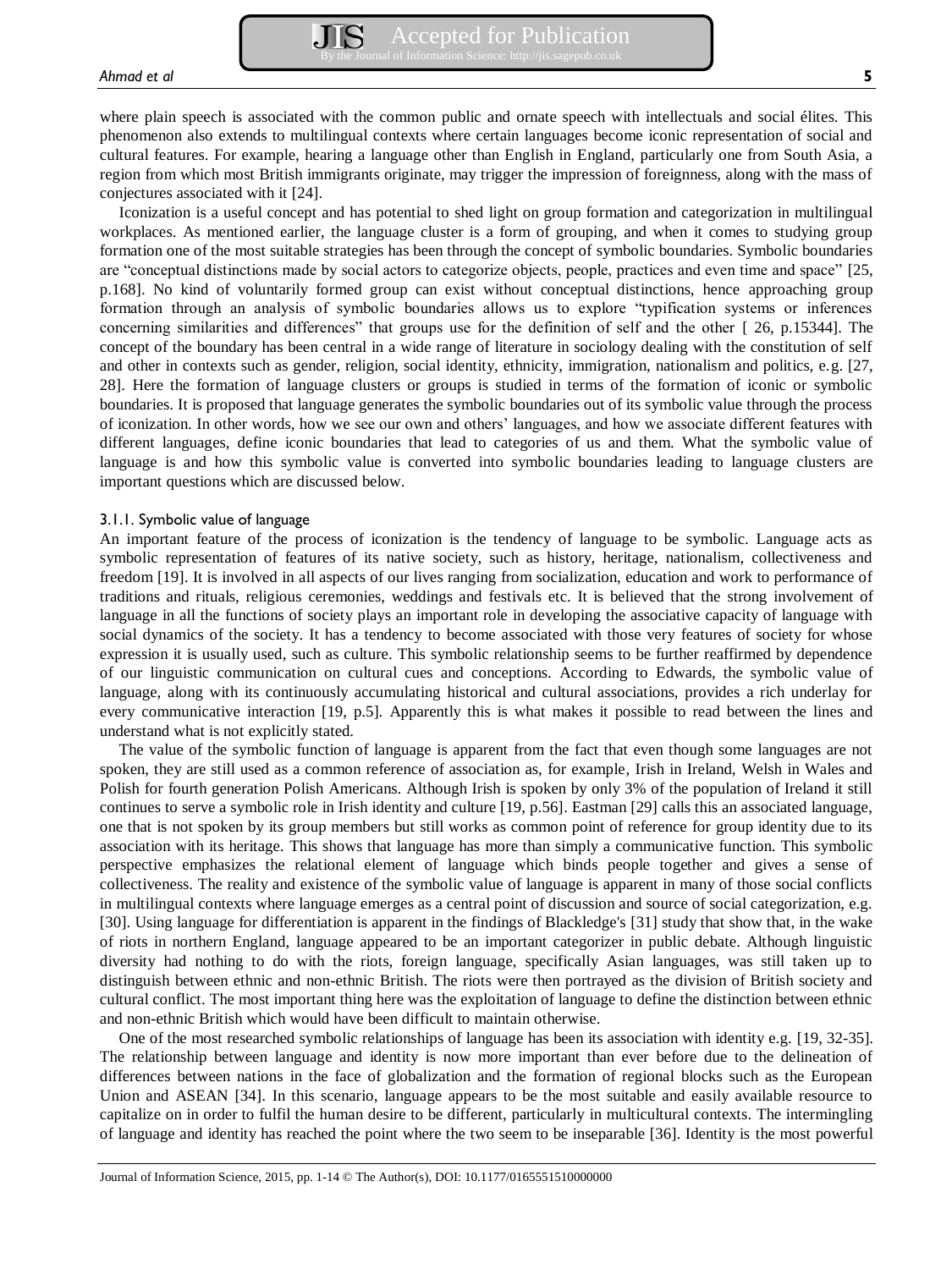where plain speech is associated with the common public and ornate speech with intellectuals and social élites. This phenomenon also extends to multilingual contexts where certain languages become iconic representation of social and cultural features. For example, hearing a language other than English in England, particularly one from South Asia, a region from which most British immigrants originate, may trigger the impression of foreignness, along with the mass of conjectures associated with it [24].

Iconization is a useful concept and has potential to shed light on group formation and categorization in multilingual workplaces. As mentioned earlier, the language cluster is a form of grouping, and when it comes to studying group formation one of the most suitable strategies has been through the concept of symbolic boundaries. Symbolic boundaries are "conceptual distinctions made by social actors to categorize objects, people, practices and even time and space" [25, p.168]. No kind of voluntarily formed group can exist without conceptual distinctions, hence approaching group formation through an analysis of symbolic boundaries allows us to explore "typification systems or inferences concerning similarities and differences" that groups use for the definition of self and the other [ 26, p.15344]. The concept of the boundary has been central in a wide range of literature in sociology dealing with the constitution of self and other in contexts such as gender, religion, social identity, ethnicity, immigration, nationalism and politics, e.g. [27, 28]. Here the formation of language clusters or groups is studied in terms of the formation of iconic or symbolic boundaries. It is proposed that language generates the symbolic boundaries out of its symbolic value through the process of iconization. In other words, how we see our own and others' languages, and how we associate different features with different languages, define iconic boundaries that lead to categories of us and them. What the symbolic value of language is and how this symbolic value is converted into symbolic boundaries leading to language clusters are important questions which are discussed below.

#### 3.1.1. Symbolic value of language

An important feature of the process of iconization is the tendency of language to be symbolic. Language acts as symbolic representation of features of its native society, such as history, heritage, nationalism, collectiveness and freedom [19]. It is involved in all aspects of our lives ranging from socialization, education and work to performance of traditions and rituals, religious ceremonies, weddings and festivals etc. It is believed that the strong involvement of language in all the functions of society plays an important role in developing the associative capacity of language with social dynamics of the society. It has a tendency to become associated with those very features of society for whose expression it is usually used, such as culture. This symbolic relationship seems to be further reaffirmed by dependence of our linguistic communication on cultural cues and conceptions. According to Edwards, the symbolic value of language, along with its continuously accumulating historical and cultural associations, provides a rich underlay for every communicative interaction [19, p.5]. Apparently this is what makes it possible to read between the lines and understand what is not explicitly stated.

The value of the symbolic function of language is apparent from the fact that even though some languages are not spoken, they are still used as a common reference of association as, for example, Irish in Ireland, Welsh in Wales and Polish for fourth generation Polish Americans. Although Irish is spoken by only 3% of the population of Ireland it still continues to serve a symbolic role in Irish identity and culture [19, p.56]. Eastman [29] calls this an associated language, one that is not spoken by its group members but still works as common point of reference for group identity due to its association with its heritage. This shows that language has more than simply a communicative function. This symbolic perspective emphasizes the relational element of language which binds people together and gives a sense of collectiveness. The reality and existence of the symbolic value of language is apparent in many of those social conflicts in multilingual contexts where language emerges as a central point of discussion and source of social categorization, e.g. [30]. Using language for differentiation is apparent in the findings of Blackledge's [31] study that show that, in the wake of riots in northern England, language appeared to be an important categorizer in public debate. Although linguistic diversity had nothing to do with the riots, foreign language, specifically Asian languages, was still taken up to distinguish between ethnic and non-ethnic British. The riots were then portrayed as the division of British society and cultural conflict. The most important thing here was the exploitation of language to define the distinction between ethnic and non-ethnic British which would have been difficult to maintain otherwise.

One of the most researched symbolic relationships of language has been its association with identity e.g. [19, 32-35]. The relationship between language and identity is now more important than ever before due to the delineation of differences between nations in the face of globalization and the formation of regional blocks such as the European Union and ASEAN [34]. In this scenario, language appears to be the most suitable and easily available resource to capitalize on in order to fulfil the human desire to be different, particularly in multicultural contexts. The intermingling of language and identity has reached the point where the two seem to be inseparable [36]. Identity is the most powerful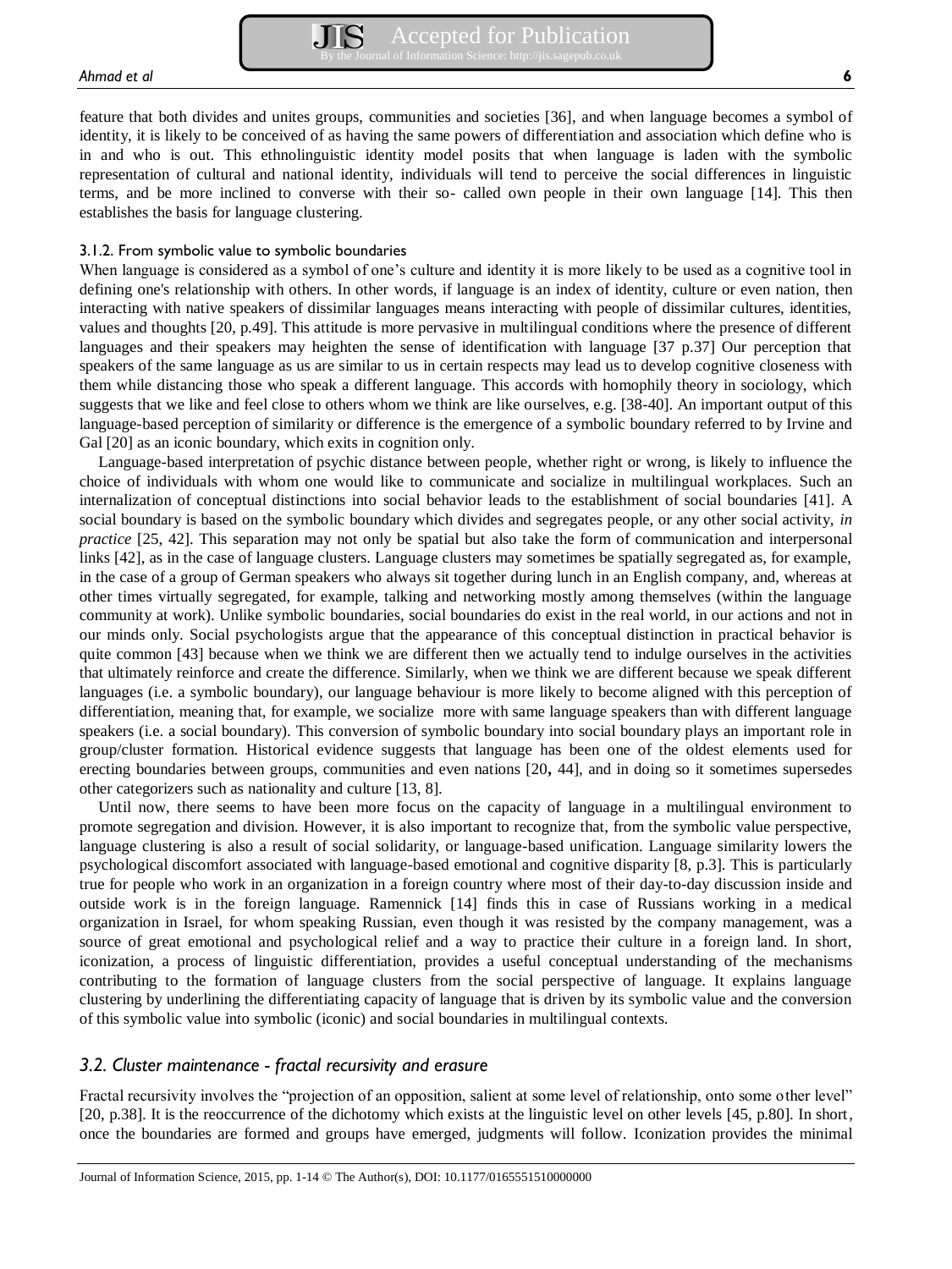feature that both divides and unites groups, communities and societies [36], and when language becomes a symbol of identity, it is likely to be conceived of as having the same powers of differentiation and association which define who is in and who is out. This ethnolinguistic identity model posits that when language is laden with the symbolic representation of cultural and national identity, individuals will tend to perceive the social differences in linguistic terms, and be more inclined to converse with their so- called own people in their own language [14]. This then establishes the basis for language clustering.

#### 3.1.2. From symbolic value to symbolic boundaries

When language is considered as a symbol of one's culture and identity it is more likely to be used as a cognitive tool in defining one's relationship with others. In other words, if language is an index of identity, culture or even nation, then interacting with native speakers of dissimilar languages means interacting with people of dissimilar cultures, identities, values and thoughts [20, p.49]. This attitude is more pervasive in multilingual conditions where the presence of different languages and their speakers may heighten the sense of identification with language [37 p.37] Our perception that speakers of the same language as us are similar to us in certain respects may lead us to develop cognitive closeness with them while distancing those who speak a different language. This accords with homophily theory in sociology, which suggests that we like and feel close to others whom we think are like ourselves, e.g. [38-40]. An important output of this language-based perception of similarity or difference is the emergence of a symbolic boundary referred to by Irvine and Gal [20] as an iconic boundary, which exits in cognition only.

Language-based interpretation of psychic distance between people, whether right or wrong, is likely to influence the choice of individuals with whom one would like to communicate and socialize in multilingual workplaces. Such an internalization of conceptual distinctions into social behavior leads to the establishment of social boundaries [41]. A social boundary is based on the symbolic boundary which divides and segregates people, or any other social activity, *in practice* [25, 42]. This separation may not only be spatial but also take the form of communication and interpersonal links [42], as in the case of language clusters. Language clusters may sometimes be spatially segregated as, for example, in the case of a group of German speakers who always sit together during lunch in an English company, and, whereas at other times virtually segregated, for example, talking and networking mostly among themselves (within the language community at work). Unlike symbolic boundaries, social boundaries do exist in the real world, in our actions and not in our minds only. Social psychologists argue that the appearance of this conceptual distinction in practical behavior is quite common [43] because when we think we are different then we actually tend to indulge ourselves in the activities that ultimately reinforce and create the difference. Similarly, when we think we are different because we speak different languages (i.e. a symbolic boundary), our language behaviour is more likely to become aligned with this perception of differentiation, meaning that, for example, we socialize more with same language speakers than with different language speakers (i.e. a social boundary). This conversion of symbolic boundary into social boundary plays an important role in group/cluster formation. Historical evidence suggests that language has been one of the oldest elements used for erecting boundaries between groups, communities and even nations [20**,** 44], and in doing so it sometimes supersedes other categorizers such as nationality and culture [13, 8].

Until now, there seems to have been more focus on the capacity of language in a multilingual environment to promote segregation and division. However, it is also important to recognize that, from the symbolic value perspective, language clustering is also a result of social solidarity, or language-based unification. Language similarity lowers the psychological discomfort associated with language-based emotional and cognitive disparity [8, p.3]. This is particularly true for people who work in an organization in a foreign country where most of their day-to-day discussion inside and outside work is in the foreign language. Ramennick [14] finds this in case of Russians working in a medical organization in Israel, for whom speaking Russian, even though it was resisted by the company management, was a source of great emotional and psychological relief and a way to practice their culture in a foreign land. In short, iconization, a process of linguistic differentiation, provides a useful conceptual understanding of the mechanisms contributing to the formation of language clusters from the social perspective of language. It explains language clustering by underlining the differentiating capacity of language that is driven by its symbolic value and the conversion of this symbolic value into symbolic (iconic) and social boundaries in multilingual contexts.

#### *3.2. Cluster maintenance - fractal recursivity and erasure*

Fractal recursivity involves the "projection of an opposition, salient at some level of relationship, onto some other level" [20, p.38]. It is the reoccurrence of the dichotomy which exists at the linguistic level on other levels [45, p.80]. In short, once the boundaries are formed and groups have emerged, judgments will follow. Iconization provides the minimal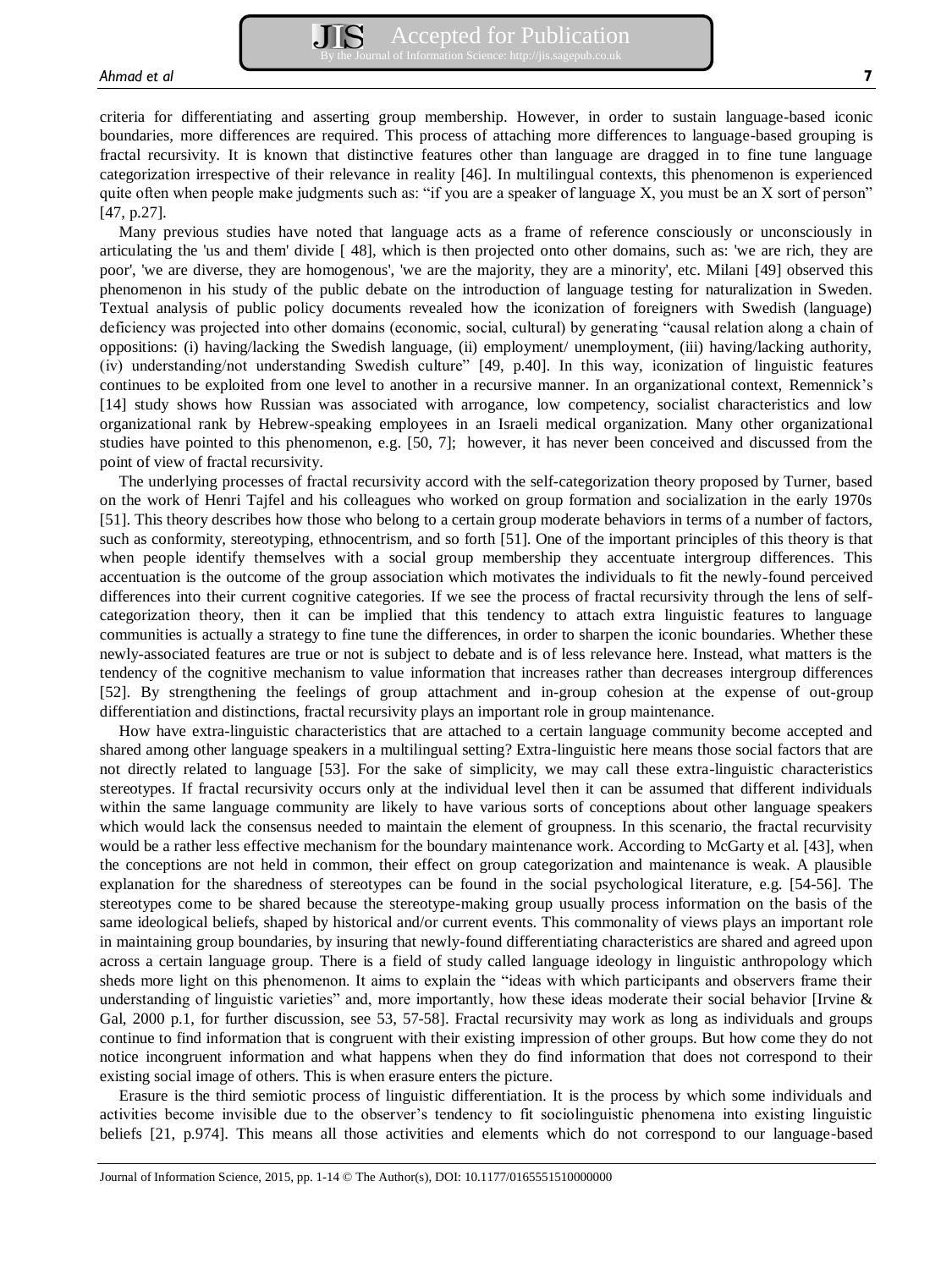Many previous studies have noted that language acts as a frame of reference consciously or unconsciously in articulating the 'us and them' divide [ 48], which is then projected onto other domains, such as: 'we are rich, they are poor', 'we are diverse, they are homogenous', 'we are the majority, they are a minority', etc. Milani [49] observed this phenomenon in his study of the public debate on the introduction of language testing for naturalization in Sweden. Textual analysis of public policy documents revealed how the iconization of foreigners with Swedish (language) deficiency was projected into other domains (economic, social, cultural) by generating "causal relation along a chain of oppositions: (i) having/lacking the Swedish language, (ii) employment/ unemployment, (iii) having/lacking authority, (iv) understanding/not understanding Swedish culture" [49, p.40]. In this way, iconization of linguistic features continues to be exploited from one level to another in a recursive manner. In an organizational context, Remennick's [14] study shows how Russian was associated with arrogance, low competency, socialist characteristics and low organizational rank by Hebrew-speaking employees in an Israeli medical organization. Many other organizational studies have pointed to this phenomenon, e.g. [50, 7]; however, it has never been conceived and discussed from the point of view of fractal recursivity.

The underlying processes of fractal recursivity accord with the self-categorization theory proposed by Turner, based on the work of Henri Tajfel and his colleagues who worked on group formation and socialization in the early 1970s [51]. This theory describes how those who belong to a certain group moderate behaviors in terms of a number of factors, such as conformity, stereotyping, ethnocentrism, and so forth [51]. One of the important principles of this theory is that when people identify themselves with a social group membership they accentuate intergroup differences. This accentuation is the outcome of the group association which motivates the individuals to fit the newly-found perceived differences into their current cognitive categories. If we see the process of fractal recursivity through the lens of selfcategorization theory, then it can be implied that this tendency to attach extra linguistic features to language communities is actually a strategy to fine tune the differences, in order to sharpen the iconic boundaries. Whether these newly-associated features are true or not is subject to debate and is of less relevance here. Instead, what matters is the tendency of the cognitive mechanism to value information that increases rather than decreases intergroup differences [52]. By strengthening the feelings of group attachment and in-group cohesion at the expense of out-group differentiation and distinctions, fractal recursivity plays an important role in group maintenance.

How have extra-linguistic characteristics that are attached to a certain language community become accepted and shared among other language speakers in a multilingual setting? Extra-linguistic here means those social factors that are not directly related to language [53]. For the sake of simplicity, we may call these extra-linguistic characteristics stereotypes. If fractal recursivity occurs only at the individual level then it can be assumed that different individuals within the same language community are likely to have various sorts of conceptions about other language speakers which would lack the consensus needed to maintain the element of groupness. In this scenario, the fractal recurvisity would be a rather less effective mechanism for the boundary maintenance work. According to McGarty et al. [43], when the conceptions are not held in common, their effect on group categorization and maintenance is weak. A plausible explanation for the sharedness of stereotypes can be found in the social psychological literature, e.g. [54-56]. The stereotypes come to be shared because the stereotype-making group usually process information on the basis of the same ideological beliefs, shaped by historical and/or current events. This commonality of views plays an important role in maintaining group boundaries, by insuring that newly-found differentiating characteristics are shared and agreed upon across a certain language group. There is a field of study called language ideology in linguistic anthropology which sheds more light on this phenomenon. It aims to explain the "ideas with which participants and observers frame their understanding of linguistic varieties" and, more importantly, how these ideas moderate their social behavior [Irvine & Gal, 2000 p.1, for further discussion, see 53, 57-58]. Fractal recursivity may work as long as individuals and groups continue to find information that is congruent with their existing impression of other groups. But how come they do not notice incongruent information and what happens when they do find information that does not correspond to their existing social image of others. This is when erasure enters the picture.

Erasure is the third semiotic process of linguistic differentiation. It is the process by which some individuals and activities become invisible due to the observer's tendency to fit sociolinguistic phenomena into existing linguistic beliefs [21, p.974]. This means all those activities and elements which do not correspond to our language-based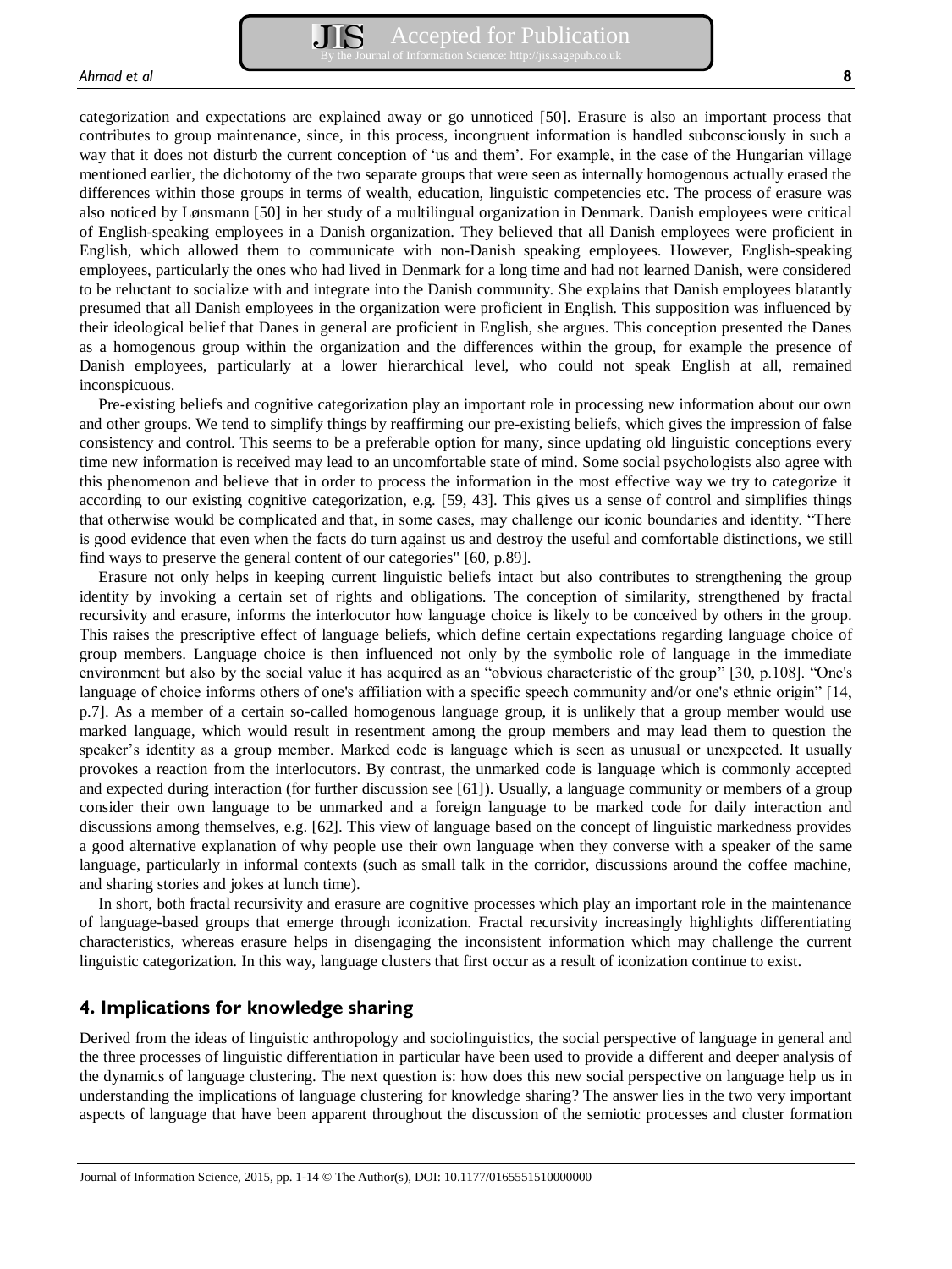categorization and expectations are explained away or go unnoticed [50]. Erasure is also an important process that contributes to group maintenance, since, in this process, incongruent information is handled subconsciously in such a way that it does not disturb the current conception of 'us and them'. For example, in the case of the Hungarian village mentioned earlier, the dichotomy of the two separate groups that were seen as internally homogenous actually erased the differences within those groups in terms of wealth, education, linguistic competencies etc. The process of erasure was also noticed by Lønsmann [50] in her study of a multilingual organization in Denmark. Danish employees were critical of English-speaking employees in a Danish organization. They believed that all Danish employees were proficient in English, which allowed them to communicate with non-Danish speaking employees. However, English-speaking employees, particularly the ones who had lived in Denmark for a long time and had not learned Danish, were considered to be reluctant to socialize with and integrate into the Danish community. She explains that Danish employees blatantly presumed that all Danish employees in the organization were proficient in English. This supposition was influenced by their ideological belief that Danes in general are proficient in English, she argues. This conception presented the Danes as a homogenous group within the organization and the differences within the group, for example the presence of Danish employees, particularly at a lower hierarchical level, who could not speak English at all, remained inconspicuous.

Pre-existing beliefs and cognitive categorization play an important role in processing new information about our own and other groups. We tend to simplify things by reaffirming our pre-existing beliefs, which gives the impression of false consistency and control. This seems to be a preferable option for many, since updating old linguistic conceptions every time new information is received may lead to an uncomfortable state of mind. Some social psychologists also agree with this phenomenon and believe that in order to process the information in the most effective way we try to categorize it according to our existing cognitive categorization, e.g. [59, 43]. This gives us a sense of control and simplifies things that otherwise would be complicated and that, in some cases, may challenge our iconic boundaries and identity. "There is good evidence that even when the facts do turn against us and destroy the useful and comfortable distinctions, we still find ways to preserve the general content of our categories" [60, p.89].

Erasure not only helps in keeping current linguistic beliefs intact but also contributes to strengthening the group identity by invoking a certain set of rights and obligations. The conception of similarity, strengthened by fractal recursivity and erasure, informs the interlocutor how language choice is likely to be conceived by others in the group. This raises the prescriptive effect of language beliefs, which define certain expectations regarding language choice of group members. Language choice is then influenced not only by the symbolic role of language in the immediate environment but also by the social value it has acquired as an "obvious characteristic of the group" [30, p.108]. "One's language of choice informs others of one's affiliation with a specific speech community and/or one's ethnic origin" [14, p.7]. As a member of a certain so-called homogenous language group, it is unlikely that a group member would use marked language, which would result in resentment among the group members and may lead them to question the speaker's identity as a group member. Marked code is language which is seen as unusual or unexpected. It usually provokes a reaction from the interlocutors. By contrast, the unmarked code is language which is commonly accepted and expected during interaction (for further discussion see [61]). Usually, a language community or members of a group consider their own language to be unmarked and a foreign language to be marked code for daily interaction and discussions among themselves, e.g. [62]. This view of language based on the concept of linguistic markedness provides a good alternative explanation of why people use their own language when they converse with a speaker of the same language, particularly in informal contexts (such as small talk in the corridor, discussions around the coffee machine, and sharing stories and jokes at lunch time).

In short, both fractal recursivity and erasure are cognitive processes which play an important role in the maintenance of language-based groups that emerge through iconization. Fractal recursivity increasingly highlights differentiating characteristics, whereas erasure helps in disengaging the inconsistent information which may challenge the current linguistic categorization. In this way, language clusters that first occur as a result of iconization continue to exist.

## **4. Implications for knowledge sharing**

Derived from the ideas of linguistic anthropology and sociolinguistics, the social perspective of language in general and the three processes of linguistic differentiation in particular have been used to provide a different and deeper analysis of the dynamics of language clustering. The next question is: how does this new social perspective on language help us in understanding the implications of language clustering for knowledge sharing? The answer lies in the two very important aspects of language that have been apparent throughout the discussion of the semiotic processes and cluster formation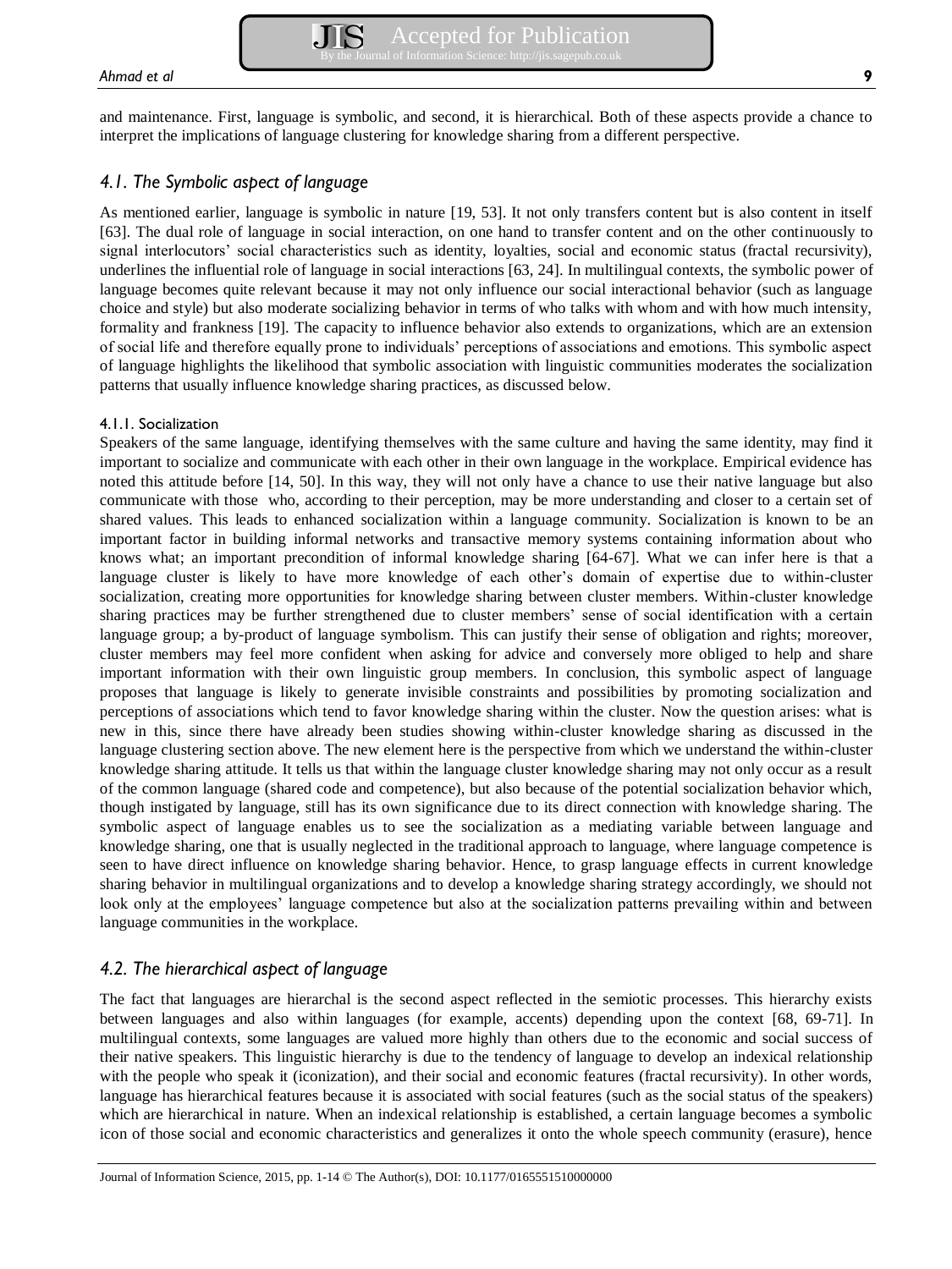and maintenance. First, language is symbolic, and second, it is hierarchical. Both of these aspects provide a chance to interpret the implications of language clustering for knowledge sharing from a different perspective.

## *4.1. The Symbolic aspect of language*

As mentioned earlier, language is symbolic in nature [19, 53]. It not only transfers content but is also content in itself [63]. The dual role of language in social interaction, on one hand to transfer content and on the other continuously to signal interlocutors' social characteristics such as identity, loyalties, social and economic status (fractal recursivity), underlines the influential role of language in social interactions [63, 24]. In multilingual contexts, the symbolic power of language becomes quite relevant because it may not only influence our social interactional behavior (such as language choice and style) but also moderate socializing behavior in terms of who talks with whom and with how much intensity, formality and frankness [19]. The capacity to influence behavior also extends to organizations, which are an extension of social life and therefore equally prone to individuals' perceptions of associations and emotions. This symbolic aspect of language highlights the likelihood that symbolic association with linguistic communities moderates the socialization patterns that usually influence knowledge sharing practices, as discussed below.

#### 4.1.1. Socialization

Speakers of the same language, identifying themselves with the same culture and having the same identity, may find it important to socialize and communicate with each other in their own language in the workplace. Empirical evidence has noted this attitude before [14, 50]. In this way, they will not only have a chance to use their native language but also communicate with those who, according to their perception, may be more understanding and closer to a certain set of shared values. This leads to enhanced socialization within a language community. Socialization is known to be an important factor in building informal networks and transactive memory systems containing information about who knows what; an important precondition of informal knowledge sharing [64-67]. What we can infer here is that a language cluster is likely to have more knowledge of each other's domain of expertise due to within-cluster socialization, creating more opportunities for knowledge sharing between cluster members. Within-cluster knowledge sharing practices may be further strengthened due to cluster members' sense of social identification with a certain language group; a by-product of language symbolism. This can justify their sense of obligation and rights; moreover, cluster members may feel more confident when asking for advice and conversely more obliged to help and share important information with their own linguistic group members. In conclusion, this symbolic aspect of language proposes that language is likely to generate invisible constraints and possibilities by promoting socialization and perceptions of associations which tend to favor knowledge sharing within the cluster. Now the question arises: what is new in this, since there have already been studies showing within-cluster knowledge sharing as discussed in the language clustering section above. The new element here is the perspective from which we understand the within-cluster knowledge sharing attitude. It tells us that within the language cluster knowledge sharing may not only occur as a result of the common language (shared code and competence), but also because of the potential socialization behavior which, though instigated by language, still has its own significance due to its direct connection with knowledge sharing. The symbolic aspect of language enables us to see the socialization as a mediating variable between language and knowledge sharing, one that is usually neglected in the traditional approach to language, where language competence is seen to have direct influence on knowledge sharing behavior. Hence, to grasp language effects in current knowledge sharing behavior in multilingual organizations and to develop a knowledge sharing strategy accordingly, we should not look only at the employees' language competence but also at the socialization patterns prevailing within and between language communities in the workplace.

## *4.2. The hierarchical aspect of language*

The fact that languages are hierarchal is the second aspect reflected in the semiotic processes. This hierarchy exists between languages and also within languages (for example, accents) depending upon the context [68, 69-71]. In multilingual contexts, some languages are valued more highly than others due to the economic and social success of their native speakers. This linguistic hierarchy is due to the tendency of language to develop an indexical relationship with the people who speak it (iconization), and their social and economic features (fractal recursivity). In other words, language has hierarchical features because it is associated with social features (such as the social status of the speakers) which are hierarchical in nature. When an indexical relationship is established, a certain language becomes a symbolic icon of those social and economic characteristics and generalizes it onto the whole speech community (erasure), hence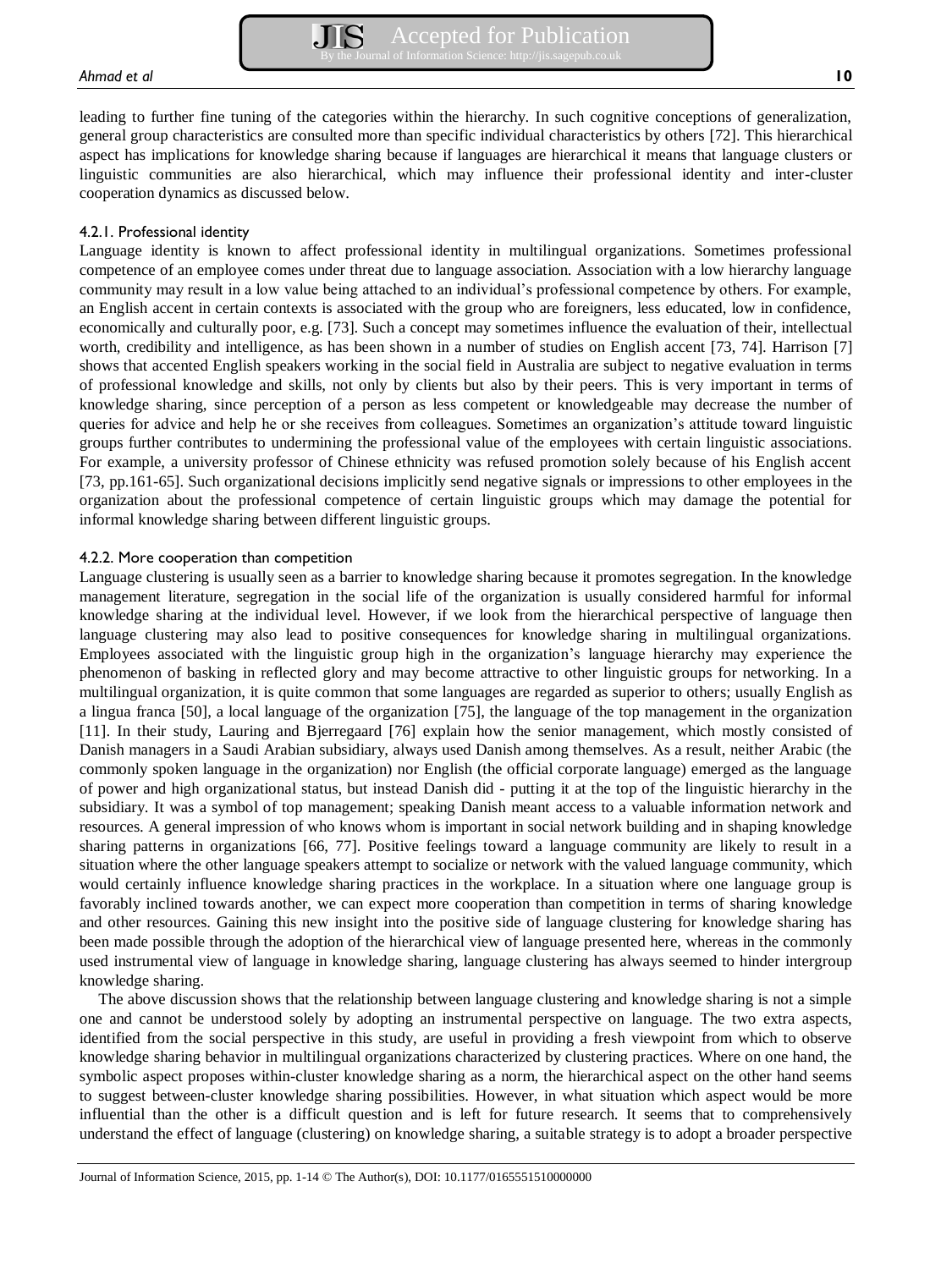leading to further fine tuning of the categories within the hierarchy. In such cognitive conceptions of generalization, general group characteristics are consulted more than specific individual characteristics by others [72]. This hierarchical aspect has implications for knowledge sharing because if languages are hierarchical it means that language clusters or linguistic communities are also hierarchical, which may influence their professional identity and inter-cluster cooperation dynamics as discussed below.

#### 4.2.1. Professional identity

Language identity is known to affect professional identity in multilingual organizations. Sometimes professional competence of an employee comes under threat due to language association. Association with a low hierarchy language community may result in a low value being attached to an individual's professional competence by others. For example, an English accent in certain contexts is associated with the group who are foreigners, less educated, low in confidence, economically and culturally poor, e.g. [73]. Such a concept may sometimes influence the evaluation of their, intellectual worth, credibility and intelligence, as has been shown in a number of studies on English accent [73, 74]. Harrison [7] shows that accented English speakers working in the social field in Australia are subject to negative evaluation in terms of professional knowledge and skills, not only by clients but also by their peers. This is very important in terms of knowledge sharing, since perception of a person as less competent or knowledgeable may decrease the number of queries for advice and help he or she receives from colleagues. Sometimes an organization's attitude toward linguistic groups further contributes to undermining the professional value of the employees with certain linguistic associations. For example, a university professor of Chinese ethnicity was refused promotion solely because of his English accent [73, pp.161-65]. Such organizational decisions implicitly send negative signals or impressions to other employees in the organization about the professional competence of certain linguistic groups which may damage the potential for informal knowledge sharing between different linguistic groups.

#### 4.2.2. More cooperation than competition

Language clustering is usually seen as a barrier to knowledge sharing because it promotes segregation. In the knowledge management literature, segregation in the social life of the organization is usually considered harmful for informal knowledge sharing at the individual level. However, if we look from the hierarchical perspective of language then language clustering may also lead to positive consequences for knowledge sharing in multilingual organizations. Employees associated with the linguistic group high in the organization's language hierarchy may experience the phenomenon of basking in reflected glory and may become attractive to other linguistic groups for networking. In a multilingual organization, it is quite common that some languages are regarded as superior to others; usually English as a lingua franca [50], a local language of the organization [75], the language of the top management in the organization [11]. In their study, Lauring and Bjerregaard [76] explain how the senior management, which mostly consisted of Danish managers in a Saudi Arabian subsidiary, always used Danish among themselves. As a result, neither Arabic (the commonly spoken language in the organization) nor English (the official corporate language) emerged as the language of power and high organizational status, but instead Danish did - putting it at the top of the linguistic hierarchy in the subsidiary. It was a symbol of top management; speaking Danish meant access to a valuable information network and resources. A general impression of who knows whom is important in social network building and in shaping knowledge sharing patterns in organizations [66, 77]. Positive feelings toward a language community are likely to result in a situation where the other language speakers attempt to socialize or network with the valued language community, which would certainly influence knowledge sharing practices in the workplace. In a situation where one language group is favorably inclined towards another, we can expect more cooperation than competition in terms of sharing knowledge and other resources. Gaining this new insight into the positive side of language clustering for knowledge sharing has been made possible through the adoption of the hierarchical view of language presented here, whereas in the commonly used instrumental view of language in knowledge sharing, language clustering has always seemed to hinder intergroup knowledge sharing.

The above discussion shows that the relationship between language clustering and knowledge sharing is not a simple one and cannot be understood solely by adopting an instrumental perspective on language. The two extra aspects, identified from the social perspective in this study, are useful in providing a fresh viewpoint from which to observe knowledge sharing behavior in multilingual organizations characterized by clustering practices. Where on one hand, the symbolic aspect proposes within-cluster knowledge sharing as a norm, the hierarchical aspect on the other hand seems to suggest between-cluster knowledge sharing possibilities. However, in what situation which aspect would be more influential than the other is a difficult question and is left for future research. It seems that to comprehensively understand the effect of language (clustering) on knowledge sharing, a suitable strategy is to adopt a broader perspective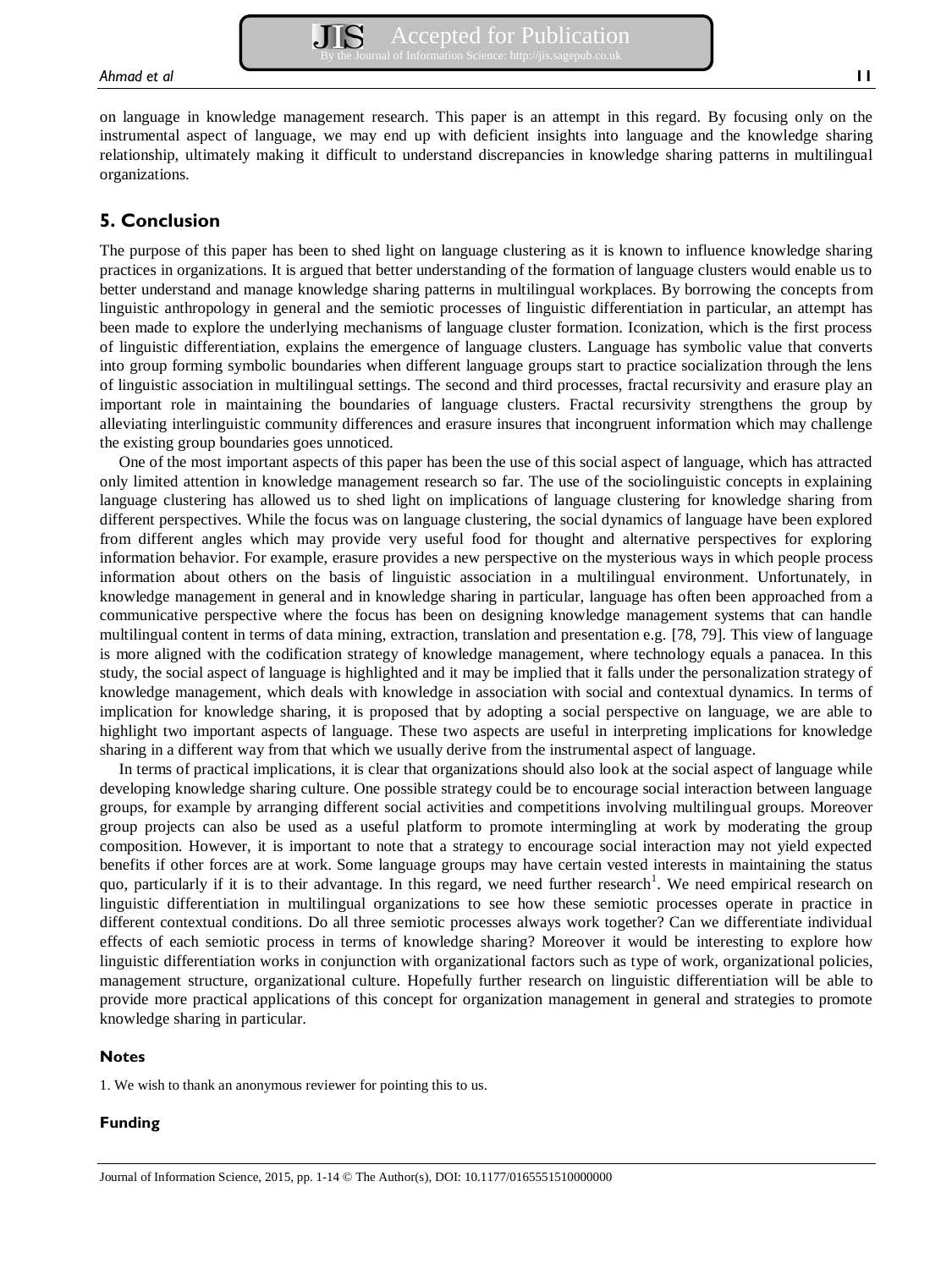on language in knowledge management research. This paper is an attempt in this regard. By focusing only on the instrumental aspect of language, we may end up with deficient insights into language and the knowledge sharing relationship, ultimately making it difficult to understand discrepancies in knowledge sharing patterns in multilingual organizations.

## **5. Conclusion**

The purpose of this paper has been to shed light on language clustering as it is known to influence knowledge sharing practices in organizations. It is argued that better understanding of the formation of language clusters would enable us to better understand and manage knowledge sharing patterns in multilingual workplaces. By borrowing the concepts from linguistic anthropology in general and the semiotic processes of linguistic differentiation in particular, an attempt has been made to explore the underlying mechanisms of language cluster formation. Iconization, which is the first process of linguistic differentiation, explains the emergence of language clusters. Language has symbolic value that converts into group forming symbolic boundaries when different language groups start to practice socialization through the lens of linguistic association in multilingual settings. The second and third processes, fractal recursivity and erasure play an important role in maintaining the boundaries of language clusters. Fractal recursivity strengthens the group by alleviating interlinguistic community differences and erasure insures that incongruent information which may challenge the existing group boundaries goes unnoticed.

One of the most important aspects of this paper has been the use of this social aspect of language, which has attracted only limited attention in knowledge management research so far. The use of the sociolinguistic concepts in explaining language clustering has allowed us to shed light on implications of language clustering for knowledge sharing from different perspectives. While the focus was on language clustering, the social dynamics of language have been explored from different angles which may provide very useful food for thought and alternative perspectives for exploring information behavior. For example, erasure provides a new perspective on the mysterious ways in which people process information about others on the basis of linguistic association in a multilingual environment. Unfortunately, in knowledge management in general and in knowledge sharing in particular, language has often been approached from a communicative perspective where the focus has been on designing knowledge management systems that can handle multilingual content in terms of data mining, extraction, translation and presentation e.g. [78, 79]. This view of language is more aligned with the codification strategy of knowledge management, where technology equals a panacea. In this study, the social aspect of language is highlighted and it may be implied that it falls under the personalization strategy of knowledge management, which deals with knowledge in association with social and contextual dynamics. In terms of implication for knowledge sharing, it is proposed that by adopting a social perspective on language, we are able to highlight two important aspects of language. These two aspects are useful in interpreting implications for knowledge sharing in a different way from that which we usually derive from the instrumental aspect of language.

In terms of practical implications, it is clear that organizations should also look at the social aspect of language while developing knowledge sharing culture. One possible strategy could be to encourage social interaction between language groups, for example by arranging different social activities and competitions involving multilingual groups. Moreover group projects can also be used as a useful platform to promote intermingling at work by moderating the group composition. However, it is important to note that a strategy to encourage social interaction may not yield expected benefits if other forces are at work. Some language groups may have certain vested interests in maintaining the status quo, particularly if it is to their advantage. In this regard, we need further research<sup>1</sup>. We need empirical research on linguistic differentiation in multilingual organizations to see how these semiotic processes operate in practice in different contextual conditions. Do all three semiotic processes always work together? Can we differentiate individual effects of each semiotic process in terms of knowledge sharing? Moreover it would be interesting to explore how linguistic differentiation works in conjunction with organizational factors such as type of work, organizational policies, management structure, organizational culture. Hopefully further research on linguistic differentiation will be able to provide more practical applications of this concept for organization management in general and strategies to promote knowledge sharing in particular.

#### **Notes**

1. We wish to thank an anonymous reviewer for pointing this to us.

#### **Funding**

Journal of Information Science, 2015, pp. 1-14 © The Author(s), DOI: 10.1177/0165551510000000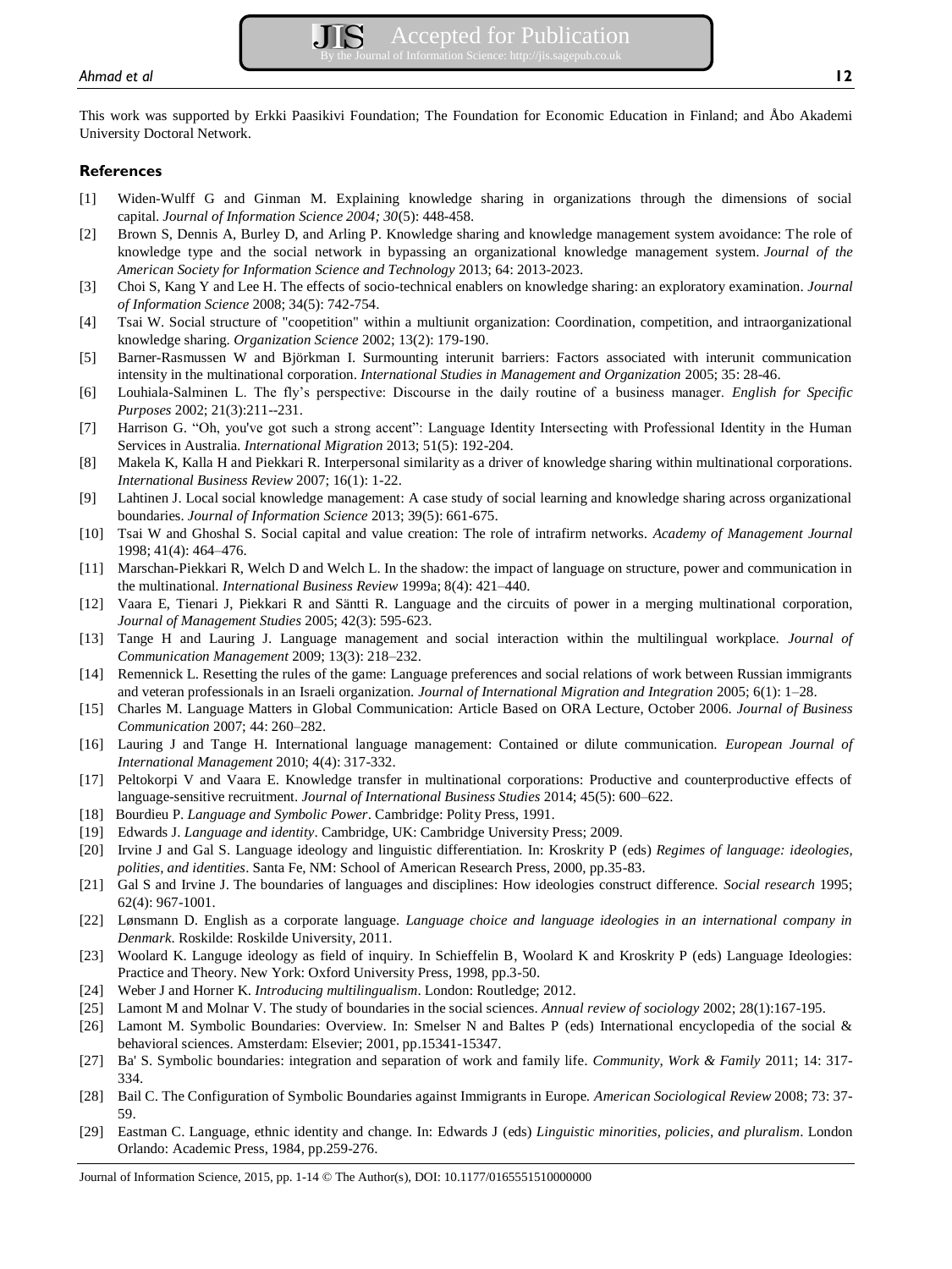This work was supported by Erkki Paasikivi Foundation; The Foundation for Economic Education in Finland; and Åbo Akademi University Doctoral Network.

#### **References**

- [1] Widen-Wulff G and Ginman M. Explaining knowledge sharing in organizations through the dimensions of social capital. *Journal of Information Science 2004; 30*(5): 448-458.
- [2] Brown S, Dennis A, Burley D, and Arling P. Knowledge sharing and knowledge management system avoidance: The role of knowledge type and the social network in bypassing an organizational knowledge management system. *Journal of the American Society for Information Science and Technology* 2013; 64: 2013-2023.
- [3] Choi S, Kang Y and Lee H. The effects of socio-technical enablers on knowledge sharing: an exploratory examination. *Journal of Information Science* 2008; 34(5): 742-754.
- [4] Tsai W. Social structure of "coopetition" within a multiunit organization: Coordination, competition, and intraorganizational knowledge sharing. *Organization Science* 2002; 13(2): 179-190.
- [5] Barner-Rasmussen W and Björkman I. Surmounting interunit barriers: Factors associated with interunit communication intensity in the multinational corporation. *International Studies in Management and Organization* 2005; 35: 28-46.
- [6] Louhiala-Salminen L. The fly's perspective: Discourse in the daily routine of a business manager. *English for Specific Purposes* 2002; 21(3):211--231.
- [7] Harrison G. "Oh, you've got such a strong accent": Language Identity Intersecting with Professional Identity in the Human Services in Australia*. International Migration* 2013; 51(5): 192-204.
- [8] Makela K, Kalla H and Piekkari R. Interpersonal similarity as a driver of knowledge sharing within multinational corporations. *International Business Review* 2007; 16(1): 1-22.
- [9] Lahtinen J. Local social knowledge management: A case study of social learning and knowledge sharing across organizational boundaries. *Journal of Information Science* 2013; 39(5): 661-675.
- [10] Tsai W and Ghoshal S. Social capital and value creation: The role of intrafirm networks. *Academy of Management Journal* 1998; 41(4): 464–476.
- [11] Marschan-Piekkari R, Welch D and Welch L. In the shadow: the impact of language on structure, power and communication in the multinational. *International Business Review* 1999a; 8(4): 421–440.
- [12] Vaara E, Tienari J, Piekkari R and Säntti R. Language and the circuits of power in a merging multinational corporation, *Journal of Management Studies* 2005; 42(3): 595-623.
- [13] Tange H and Lauring J. Language management and social interaction within the multilingual workplace. *Journal of Communication Management* 2009; 13(3): 218–232.
- [14] Remennick L. Resetting the rules of the game: Language preferences and social relations of work between Russian immigrants and veteran professionals in an Israeli organization. *Journal of International Migration and Integration* 2005; 6(1): 1–28.
- [15] Charles M. Language Matters in Global Communication: Article Based on ORA Lecture, October 2006. *Journal of Business Communication* 2007; 44: 260–282.
- [16] Lauring J and Tange H. International language management: Contained or dilute communication. *European Journal of International Management* 2010; 4(4): 317-332.
- [17] Peltokorpi V and Vaara E. Knowledge transfer in multinational corporations: Productive and counterproductive effects of language-sensitive recruitment. *Journal of International Business Studies* 2014; 45(5): 600–622.
- [18] Bourdieu P. *Language and Symbolic Power*. Cambridge: Polity Press, 1991.
- [19] Edwards J. *Language and identity*. Cambridge, UK: Cambridge University Press; 2009.
- [20] Irvine J and Gal S. Language ideology and linguistic differentiation. In: Kroskrity P (eds) *Regimes of language: ideologies, polities, and identities*. Santa Fe, NM: School of American Research Press, 2000, pp.35-83.
- [21] Gal S and Irvine J. The boundaries of languages and disciplines: How ideologies construct difference. *Social research* 1995; 62(4): 967-1001.
- [22] Lønsmann D. English as a corporate language. *Language choice and language ideologies in an international company in Denmark*. Roskilde: Roskilde University, 2011.
- [23] Woolard K. Languge ideology as field of inquiry. In Schieffelin B, Woolard K and Kroskrity P (eds) Language Ideologies: Practice and Theory. New York: Oxford University Press, 1998, pp.3-50.
- [24] Weber J and Horner K. *Introducing multilingualism*. London: Routledge; 2012.
- [25] Lamont M and Molnar V. The study of boundaries in the social sciences. *Annual review of sociology* 2002; 28(1):167-195.
- [26] Lamont M. Symbolic Boundaries: Overview. In: Smelser N and Baltes P (eds) International encyclopedia of the social & behavioral sciences. Amsterdam: Elsevier; 2001, pp.15341-15347.
- [27] Ba' S. Symbolic boundaries: integration and separation of work and family life*. Community, Work & Family* 2011; 14: 317- 334.
- [28] Bail C. The Configuration of Symbolic Boundaries against Immigrants in Europe. *American Sociological Review* 2008; 73: 37- 59.
- [29] Eastman C. Language, ethnic identity and change. In: Edwards J (eds) *Linguistic minorities, policies, and pluralism*. London Orlando: Academic Press, 1984, pp.259-276.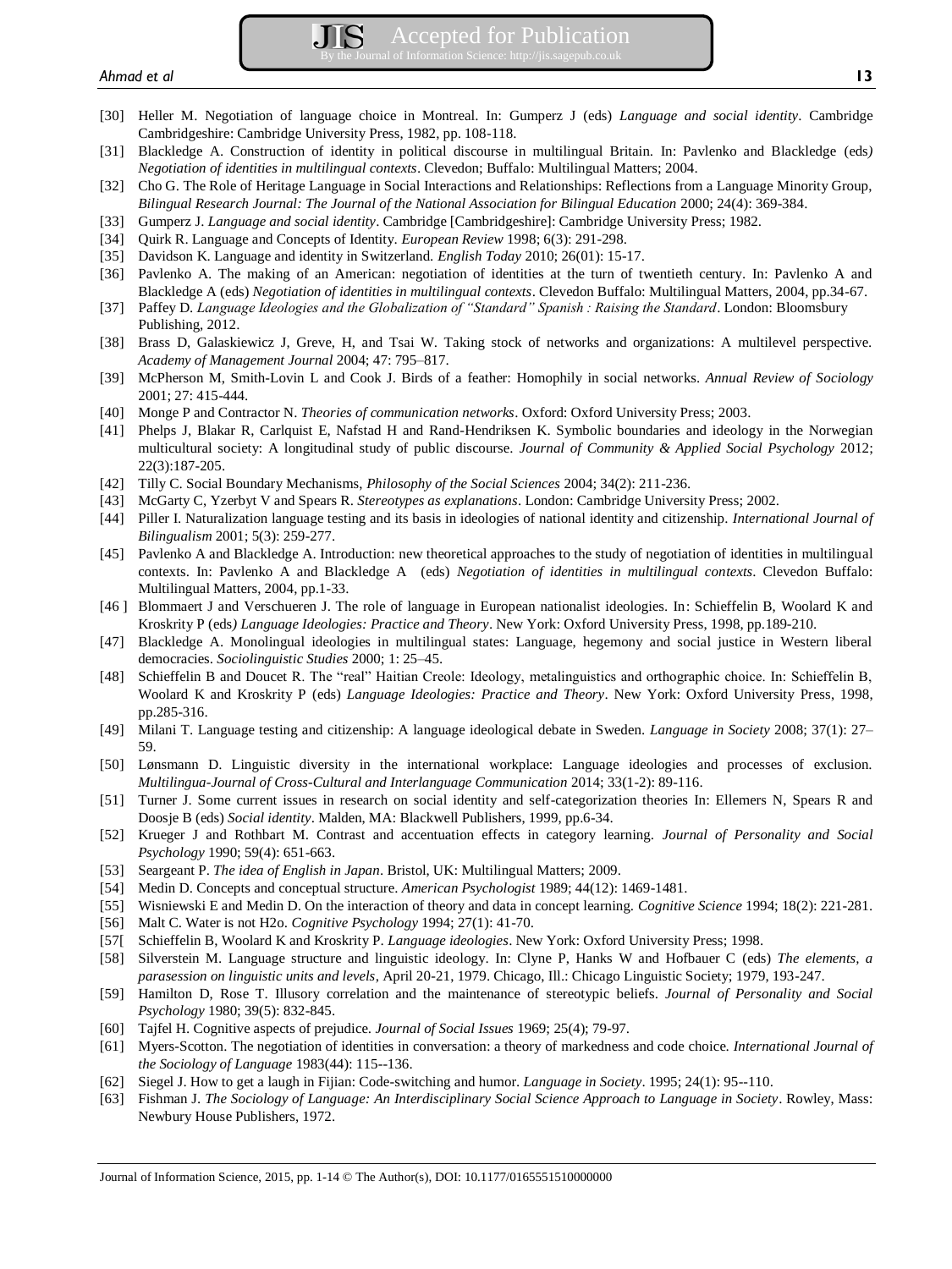- [30] Heller M. Negotiation of language choice in Montreal. In: Gumperz J (eds) *Language and social identity*. Cambridge Cambridgeshire: Cambridge University Press, 1982, pp. 108-118.
- [31] Blackledge A. Construction of identity in political discourse in multilingual Britain. In: Pavlenko and Blackledge (eds*) Negotiation of identities in multilingual contexts*. Clevedon; Buffalo: Multilingual Matters; 2004.
- [32] Cho G. The Role of Heritage Language in Social Interactions and Relationships: Reflections from a Language Minority Group, *Bilingual Research Journal: The Journal of the National Association for Bilingual Education* 2000; 24(4): 369-384.
- [33] Gumperz J. *Language and social identity*. Cambridge [Cambridgeshire]: Cambridge University Press; 1982.
- [34] Quirk R. Language and Concepts of Identity. *European Review* 1998; 6(3): 291-298.
- [35] Davidson K. Language and identity in Switzerland. *English Today* 2010; 26(01): 15-17.
- [36] Pavlenko A. The making of an American: negotiation of identities at the turn of twentieth century. In: Pavlenko A and Blackledge A (eds) *Negotiation of identities in multilingual contexts*. Clevedon Buffalo: Multilingual Matters, 2004, pp.34-67.
- [37] Paffey D. *Language Ideologies and the Globalization of "Standard" Spanish : Raising the Standard*. London: Bloomsbury Publishing, 2012.
- [38] Brass D, Galaskiewicz J, Greve, H, and Tsai W. Taking stock of networks and organizations: A multilevel perspective. *Academy of Management Journal* 2004; 47: 795–817.
- [39] McPherson M, Smith-Lovin L and Cook J. Birds of a feather: Homophily in social networks. *Annual Review of Sociology* 2001; 27: 415-444.
- [40] Monge P and Contractor N. *Theories of communication networks*. Oxford: Oxford University Press; 2003.
- [41] Phelps J, Blakar R, Carlquist E, Nafstad H and Rand-Hendriksen K. Symbolic boundaries and ideology in the Norwegian multicultural society: A longitudinal study of public discourse. *Journal of Community & Applied Social Psychology* 2012; 22(3):187-205.
- [42] Tilly C. Social Boundary Mechanisms, *Philosophy of the Social Sciences* 2004; 34(2): 211-236.
- [43] McGarty C, Yzerbyt V and Spears R. *Stereotypes as explanations*. London: Cambridge University Press; 2002.
- [44] Piller I. Naturalization language testing and its basis in ideologies of national identity and citizenship. *International Journal of Bilingualism* 2001; 5(3): 259-277.
- [45] Pavlenko A and Blackledge A. Introduction: new theoretical approaches to the study of negotiation of identities in multilingual contexts. In: Pavlenko A and Blackledge A (eds) *Negotiation of identities in multilingual contexts*. Clevedon Buffalo: Multilingual Matters, 2004, pp.1-33.
- [46 ] Blommaert J and Verschueren J. The role of language in European nationalist ideologies. In: Schieffelin B, Woolard K and Kroskrity P (eds*) Language Ideologies: Practice and Theory*. New York: Oxford University Press, 1998, pp.189-210.
- [47] Blackledge A. Monolingual ideologies in multilingual states: Language, hegemony and social justice in Western liberal democracies. *Sociolinguistic Studies* 2000; 1: 25–45.
- [48] Schieffelin B and Doucet R. The "real" Haitian Creole: Ideology, metalinguistics and orthographic choice. In: Schieffelin B, Woolard K and Kroskrity P (eds) *Language Ideologies: Practice and Theory*. New York: Oxford University Press, 1998, pp.285-316.
- [49] Milani T. Language testing and citizenship: A language ideological debate in Sweden. *Language in Society* 2008; 37(1): 27– 59.
- [50] Lønsmann D. Linguistic diversity in the international workplace: Language ideologies and processes of exclusion. *Multilingua-Journal of Cross-Cultural and Interlanguage Communication* 2014; 33(1-2): 89-116.
- [51] Turner J. Some current issues in research on social identity and self-categorization theories In: Ellemers N, Spears R and Doosje B (eds) *Social identity*. Malden, MA: Blackwell Publishers, 1999, pp.6-34.
- [52] Krueger J and Rothbart M. Contrast and accentuation effects in category learning. *Journal of Personality and Social Psychology* 1990; 59(4): 651-663.
- [53] Seargeant P. *The idea of English in Japan*. Bristol, UK: Multilingual Matters; 2009.
- [54] Medin D. Concepts and conceptual structure. *American Psychologist* 1989; 44(12): 1469-1481.
- [55] Wisniewski E and Medin D. On the interaction of theory and data in concept learning. *Cognitive Science* 1994; 18(2): 221-281.
- [56] Malt C. Water is not H2o. *Cognitive Psychology* 1994; 27(1): 41-70.
- [57[ Schieffelin B, Woolard K and Kroskrity P. *Language ideologies*. New York: Oxford University Press; 1998.
- [58] Silverstein M. Language structure and linguistic ideology. In: Clyne P, Hanks W and Hofbauer C (eds) *The elements, a parasession on linguistic units and levels*, April 20-21, 1979. Chicago, Ill.: Chicago Linguistic Society; 1979, 193-247.
- [59] Hamilton D, Rose T. Illusory correlation and the maintenance of stereotypic beliefs. *Journal of Personality and Social Psychology* 1980; 39(5): 832-845.
- [60] Tajfel H. Cognitive aspects of prejudice. *Journal of Social Issues* 1969; 25(4); 79-97.
- [61] Myers-Scotton. The negotiation of identities in conversation: a theory of markedness and code choice. *International Journal of the Sociology of Language* 1983(44): 115--136.
- [62] Siegel J. How to get a laugh in Fijian: Code-switching and humor. *Language in Society*. 1995; 24(1): 95--110.
- [63] Fishman J. *The Sociology of Language: An Interdisciplinary Social Science Approach to Language in Society*. Rowley, Mass: Newbury House Publishers, 1972.